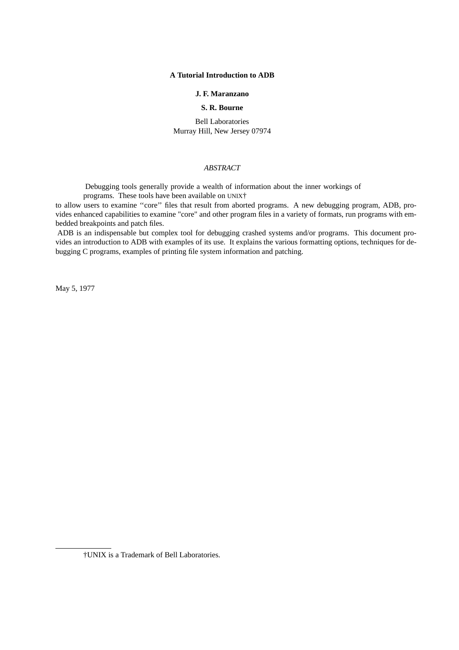### **A Tutorial Introduction to ADB**

### **J. F. Maranzano**

### **S. R. Bourne**

Bell Laboratories Murray Hill, New Jersey 07974

### *ABSTRACT*

Debugging tools generally provide a wealth of information about the inner workings of programs. These tools have been available on UNIX†

to allow users to examine ''core'' files that result from aborted programs. A new debugging program, ADB, provides enhanced capabilities to examine "core" and other program files in a variety of formats, run programs with embedded breakpoints and patch files.

ADB is an indispensable but complex tool for debugging crashed systems and/or programs. This document provides an introduction to ADB with examples of its use. It explains the various formatting options, techniques for debugging C programs, examples of printing file system information and patching.

May 5, 1977

<sup>†</sup>UNIX is a Trademark of Bell Laboratories.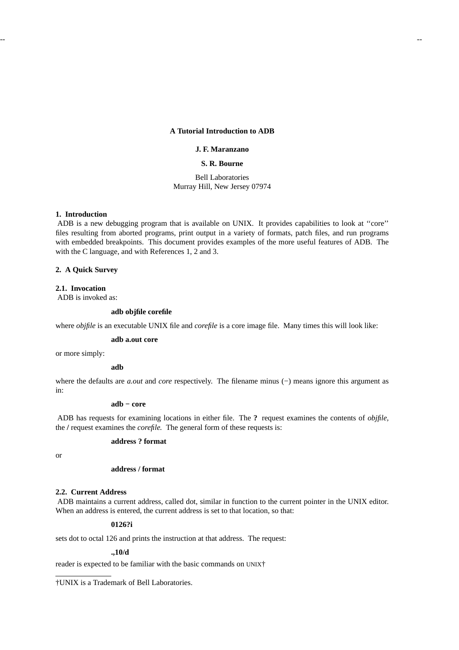# **A Tutorial Introduction to ADB**

# **J. F. Maranzano**

### **S. R. Bourne**

Bell Laboratories Murray Hill, New Jersey 07974

### **1. Introduction**

ADB is a new debugging program that is available on UNIX. It provides capabilities to look at ''core'' files resulting from aborted programs, print output in a variety of formats, patch files, and run programs with embedded breakpoints. This document provides examples of the more useful features of ADB. The with the C language, and with References 1, 2 and 3.

#### **2. A Quick Survey**

#### **2.1. Invocation**

ADB is invoked as:

#### **adb objfile corefile**

where *objfile* is an executable UNIX file and *corefile* is a core image file. Many times this will look like:

#### **adb a.out core**

or more simply:

#### **adb**

where the defaults are *a.out* and *core* respectively. The filename minus (−) means ignore this argument as in:

### **adb − core**

ADB has requests for examining locations in either file. The **?** request examines the contents of *objfile,* the **/** request examines the *corefile.* The general form of these requests is:

#### **address ? format**

or

### **address / format**

### **2.2. Current Address**

ADB maintains a current address, called dot, similar in function to the current pointer in the UNIX editor. When an address is entered, the current address is set to that location, so that:

**0126?i**

sets dot to octal 126 and prints the instruction at that address. The request:

**.,10/d**

reader is expected to be familiar with the basic commands on UNIX†

†UNIX is a Trademark of Bell Laboratories.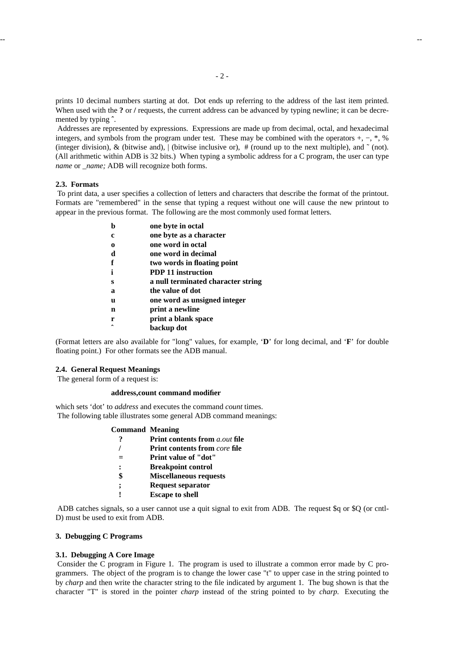prints 10 decimal numbers starting at dot. Dot ends up referring to the address of the last item printed. When used with the ? or / requests, the current address can be advanced by typing newline; it can be decremented by typing **ˆ**.

Addresses are represented by expressions. Expressions are made up from decimal, octal, and hexadecimal integers, and symbols from the program under test. These may be combined with the operators +, −, \*, % (integer division),  $\&$  (bitwise and), | (bitwise inclusive or), # (round up to the next multiple), and  $\degree$  (not). (All arithmetic within ADB is 32 bits.) When typing a symbolic address for a C program, the user can type *name* or *\_name;* ADB will recognize both forms.

### **2.3. Formats**

To print data, a user specifies a collection of letters and characters that describe the format of the printout. Formats are "remembered" in the sense that typing a request without one will cause the new printout to appear in the previous format. The following are the most commonly used format letters.

|   | one byte in octal                  |
|---|------------------------------------|
| c | one byte as a character            |
| 0 | one word in octal                  |
| d | one word in decimal                |
| f | two words in floating point        |
| i | <b>PDP</b> 11 instruction          |
| S | a null terminated character string |
| a | the value of dot                   |
| u | one word as unsigned integer       |
| n | print a newline                    |
| r | print a blank space                |
| ^ | backup dot                         |
|   |                                    |

(Format letters are also available for "long" values, for example, '**D**' for long decimal, and '**F**' for double floating point.) For other formats see the ADB manual.

### **2.4. General Request Meanings**

The general form of a request is:

### **address,count command modifier**

which sets 'dot' to *address* and executes the command *count* times. The following table illustrates some general ADB command meanings:

### **Command Meaning**

| ?              | Print contents from <i>a.out</i> file |
|----------------|---------------------------------------|
|                | Print contents from core file         |
| $=$            | <b>Print value of "dot"</b>           |
| $\ddot{\cdot}$ | <b>Breakpoint control</b>             |
| \$             | <b>Miscellaneous requests</b>         |
| ;              | Request separator                     |
|                | <b>Escape to shell</b>                |

ADB catches signals, so a user cannot use a quit signal to exit from ADB. The request \$q or \$Q (or cntl-D) must be used to exit from ADB.

### **3. Debugging C Programs**

#### **3.1. Debugging A Core Image**

Consider the C program in Figure 1. The program is used to illustrate a common error made by C programmers. The object of the program is to change the lower case "t" to upper case in the string pointed to by *charp* and then write the character string to the file indicated by argument 1. The bug shown is that the character "T" is stored in the pointer *charp* instead of the string pointed to by *charp.* Executing the

-- --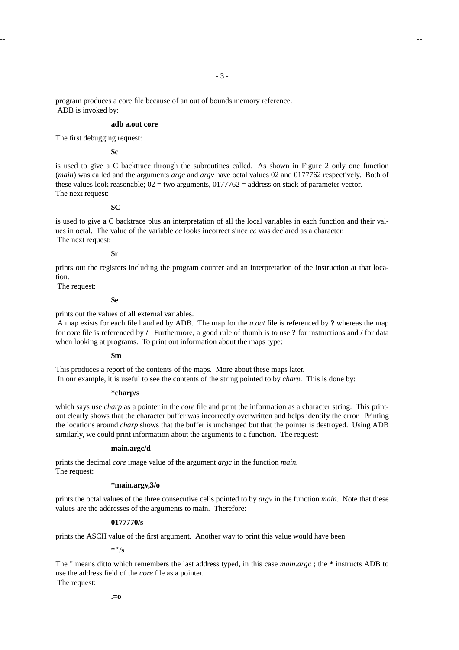-- --

program produces a core file because of an out of bounds memory reference. ADB is invoked by:

### **adb a.out core**

The first debugging request:

### **\$c**

is used to give a C backtrace through the subroutines called. As shown in Figure 2 only one function (*main*) was called and the arguments *argc* and *argv* have octal values 02 and 0177762 respectively. Both of these values look reasonable;  $02 =$  two arguments,  $0177762 =$  address on stack of parameter vector. The next request:

#### **\$C**

is used to give a C backtrace plus an interpretation of all the local variables in each function and their values in octal. The value of the variable *cc* looks incorrect since *cc* was declared as a character. The next request:

#### **\$r**

prints out the registers including the program counter and an interpretation of the instruction at that location.

The request:

# **\$e**

prints out the values of all external variables.

A map exists for each file handled by ADB. The map for the *a.out* file is referenced by **?** whereas the map for *core* file is referenced by **/**. Furthermore, a good rule of thumb is to use **?** for instructions and **/** for data when looking at programs. To print out information about the maps type:

#### **\$m**

This produces a report of the contents of the maps. More about these maps later. In our example, it is useful to see the contents of the string pointed to by *charp.* This is done by:

#### **\*charp/s**

which says use *charp* as a pointer in the *core* file and print the information as a character string. This printout clearly shows that the character buffer was incorrectly overwritten and helps identify the error. Printing the locations around *charp* shows that the buffer is unchanged but that the pointer is destroyed. Using ADB similarly, we could print information about the arguments to a function. The request:

#### **main.argc/d**

prints the decimal *core* image value of the argument *argc* in the function *main.* The request:

### **\*main.argv,3/o**

prints the octal values of the three consecutive cells pointed to by *argv* in the function *main.* Note that these values are the addresses of the arguments to main. Therefore:

### **0177770/s**

prints the ASCII value of the first argument. Another way to print this value would have been

**\*"/s**

The " means ditto which remembers the last address typed, in this case *main.argc* ; the **\*** instructs ADB to use the address field of the *core* file as a pointer.

The request: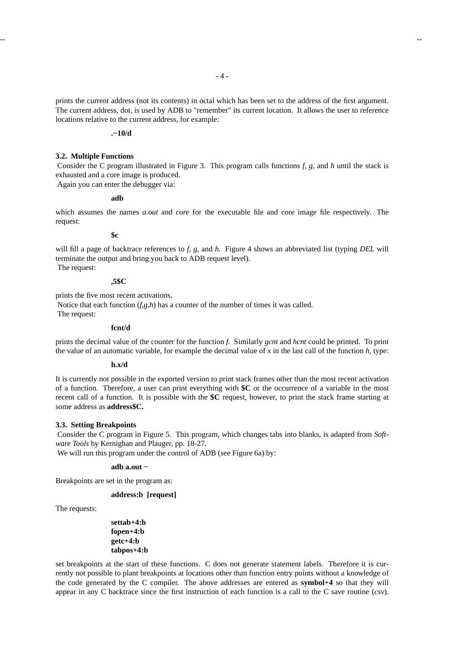prints the current address (not its contents) in octal which has been set to the address of the first argument. The current address, dot, is used by ADB to "remember" its current location. It allows the user to reference locations relative to the current address, for example:

**.−10/d**

#### **3.2. Multiple Functions**

Consider the C program illustrated in Figure 3. This program calls functions *f, g,* and *h* until the stack is exhausted and a core image is produced.

Again you can enter the debugger via:

#### **adb**

which assumes the names *a.out* and *core* for the executable file and core image file respectively. The request:

#### **\$c**

will fill a page of backtrace references to *f, g,* and *h.* Figure 4 shows an abbreviated list (typing *DEL* will terminate the output and bring you back to ADB request level).

The request:

#### **,5\$C**

prints the five most recent activations.

Notice that each function (*f,g,h*) has a counter of the number of times it was called.

The request:

#### **fcnt/d**

prints the decimal value of the counter for the function *f.* Similarly *gcnt* and *hcnt* could be printed. To print the value of an automatic variable, for example the decimal value of *x* in the last call of the function *h,* type:

#### **h.x/d**

It is currently not possible in the exported version to print stack frames other than the most recent activation of a function. Therefore, a user can print everything with **\$C** or the occurrence of a variable in the most recent call of a function. It is possible with the **\$C** request, however, to print the stack frame starting at some address as **address\$C.** 

#### **3.3. Setting Breakpoints**

Consider the C program in Figure 5. This program, which changes tabs into blanks, is adapted from *Software Tools* by Kernighan and Plauger, pp. 18-27.

We will run this program under the control of ADB (see Figure 6a) by:

#### **adb a.out −**

Breakpoints are set in the program as:

**address:b [request]**

The requests:

**settab+4:b fopen+4:b getc+4:b tabpos+4:b**

set breakpoints at the start of these functions. C does not generate statement labels. Therefore it is currently not possible to plant breakpoints at locations other than function entry points without a knowledge of the code generated by the C compiler. The above addresses are entered as **symbol+4** so that they will appear in any C backtrace since the first instruction of each function is a call to the C save routine (*csv*).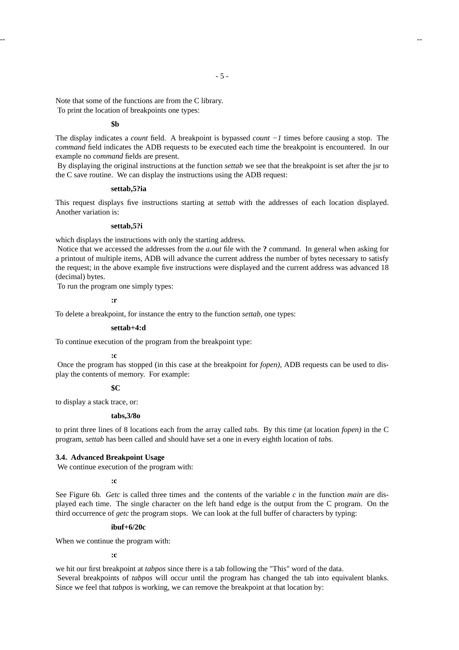Note that some of the functions are from the C library. To print the location of breakpoints one types:

### **\$b**

The display indicates a *count* field. A breakpoint is bypassed *count −1* times before causing a stop. The *command* field indicates the ADB requests to be executed each time the breakpoint is encountered. In our example no *command* fields are present.

By displaying the original instructions at the function *settab* we see that the breakpoint is set after the jsr to the C save routine. We can display the instructions using the ADB request:

### **settab,5?ia**

This request displays five instructions starting at *settab* with the addresses of each location displayed. Another variation is:

### **settab,5?i**

which displays the instructions with only the starting address.

Notice that we accessed the addresses from the *a.out* file with the **?** command. In general when asking for a printout of multiple items, ADB will advance the current address the number of bytes necessary to satisfy the request; in the above example five instructions were displayed and the current address was advanced 18 (decimal) bytes.

To run the program one simply types:

#### **:r**

To delete a breakpoint, for instance the entry to the function *settab,* one types:

#### **settab+4:d**

To continue execution of the program from the breakpoint type:

#### **:c**

Once the program has stopped (in this case at the breakpoint for *fopen),* ADB requests can be used to display the contents of memory. For example:

#### **\$C**

to display a stack trace, or:

#### **tabs,3/8o**

to print three lines of 8 locations each from the array called *tabs.* By this time (at location *fopen)* in the C program, *settab* has been called and should have set a one in every eighth location of *tabs.*

#### **3.4. Advanced Breakpoint Usage**

We continue execution of the program with:

**:c**

See Figure 6b. *Getc* is called three times and the contents of the variable  $c$  in the function *main* are displayed each time. The single character on the left hand edge is the output from the C program. On the third occurrence of *getc* the program stops. We can look at the full buffer of characters by typing:

#### **ibuf+6/20c**

When we continue the program with:

**:c**

we hit our first breakpoint at *tabpos* since there is a tab following the "This" word of the data. Several breakpoints of *tabpos* will occur until the program has changed the tab into equivalent blanks. Since we feel that *tabpos* is working, we can remove the breakpoint at that location by: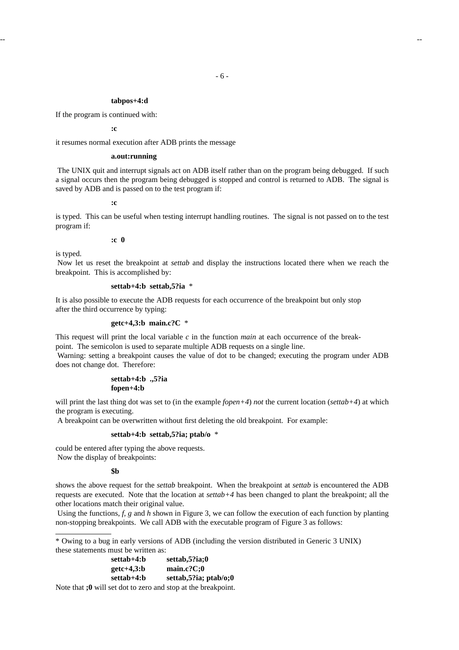-- --

#### **tabpos+4:d**

If the program is continued with:

**:c**

it resumes normal execution after ADB prints the message

### **a.out:running**

The UNIX quit and interrupt signals act on ADB itself rather than on the program being debugged. If such a signal occurs then the program being debugged is stopped and control is returned to ADB. The signal is saved by ADB and is passed on to the test program if:

### **:c**

is typed. This can be useful when testing interrupt handling routines. The signal is not passed on to the test program if:

**:c 0**

is typed.

Now let us reset the breakpoint at *settab* and display the instructions located there when we reach the breakpoint. This is accomplished by:

## **settab+4:b settab,5?ia** \*

It is also possible to execute the ADB requests for each occurrence of the breakpoint but only stop after the third occurrence by typing:

#### **getc+4,3:b main.c?C** \*

This request will print the local variable *c* in the function *main* at each occurrence of the breakpoint. The semicolon is used to separate multiple ADB requests on a single line.

Warning: setting a breakpoint causes the value of dot to be changed; executing the program under ADB does not change dot. Therefore:

## **settab+4:b .,5?ia fopen+4:b**

will print the last thing dot was set to (in the example *fopen+4*) *not* the current location (*settab+4*) at which the program is executing.

A breakpoint can be overwritten without first deleting the old breakpoint. For example:

### **settab+4:b settab,5?ia; ptab/o** \*

could be entered after typing the above requests. Now the display of breakpoints:

### **\$b**

shows the above request for the *settab* breakpoint. When the breakpoint at *settab* is encountered the ADB requests are executed. Note that the location at *settab+4* has been changed to plant the breakpoint; all the other locations match their original value.

Using the functions, *f, g* and *h* shown in Figure 3, we can follow the execution of each function by planting non-stopping breakpoints. We call ADB with the executable program of Figure 3 as follows:

\* Owing to a bug in early versions of ADB (including the version distributed in Generic 3 UNIX) these statements must be written as:

| settab+4:b   | settab, 5?ia; 0                |
|--------------|--------------------------------|
| $getc+4,3:b$ | main.c?C:0                     |
| settab+4:b   | settab, $5$ ?ia; ptab/ $o$ ; 0 |

Note that **:0** will set dot to zero and stop at the breakpoint.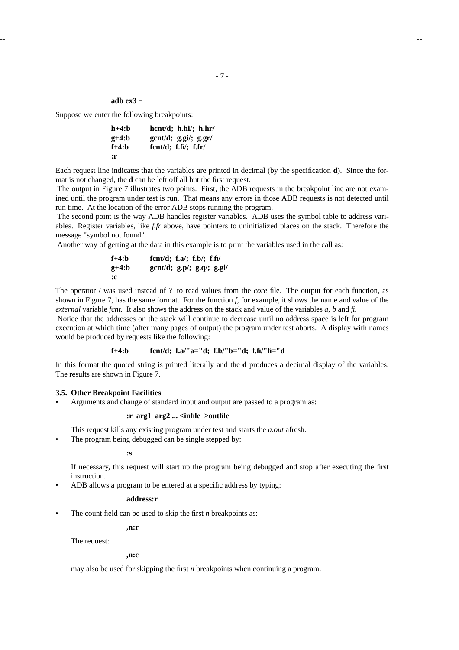-7-

#### **adb ex3 −**

Suppose we enter the following breakpoints:

| $h+4:$ b | $hcnt/d$ ; $h.hi/$ ; $h.hr/$ |
|----------|------------------------------|
| $g+4:b$  | $gcnt/d$ ; $g.gi/$ ; $g.gr/$ |
| $f+4:$ b | $fcnt/d$ ; $f.fi$ ; $f.fr/$  |
| ÷r.      |                              |

Each request line indicates that the variables are printed in decimal (by the specification **d**). Since the format is not changed, the **d** can be left off all but the first request.

The output in Figure 7 illustrates two points. First, the ADB requests in the breakpoint line are not examined until the program under test is run. That means any errors in those ADB requests is not detected until run time. At the location of the error ADB stops running the program.

The second point is the way ADB handles register variables. ADB uses the symbol table to address variables. Register variables, like *f.fr* above, have pointers to uninitialized places on the stack. Therefore the message "symbol not found".

Another way of getting at the data in this example is to print the variables used in the call as:

| $f+4:$ b | fcnt/d; f.a/; f.b/; f.fi/          |
|----------|------------------------------------|
| $g+4:b$  | $gcnt/d$ ; $g.p$ ; $g.q$ ; $g.gi/$ |
| . . c    |                                    |

The operator / was used instead of ? to read values from the *core* file. The output for each function, as shown in Figure 7, has the same format. For the function *f*, for example, it shows the name and value of the *external* variable *fcnt.* It also shows the address on the stack and value of the variables *a, b* and *fi.*

Notice that the addresses on the stack will continue to decrease until no address space is left for program execution at which time (after many pages of output) the program under test aborts. A display with names would be produced by requests like the following:

#### **f+4:b fcnt/d; f.a/"a="d; f.b/"b="d; f.fi/"fi="d**

In this format the quoted string is printed literally and the **d** produces a decimal display of the variables. The results are shown in Figure 7.

#### **3.5. Other Breakpoint Facilities**

• Arguments and change of standard input and output are passed to a program as:

#### **:r arg1 arg2 ... <infile >outfile**

This request kills any existing program under test and starts the *a.out* afresh.

The program being debugged can be single stepped by:

### **:s**

If necessary, this request will start up the program being debugged and stop after executing the first instruction.

• ADB allows a program to be entered at a specific address by typing:

### **address:r**

The count field can be used to skip the first *n* breakpoints as:

**,n:r**

The request:

**,n:c**

may also be used for skipping the first *n* breakpoints when continuing a program.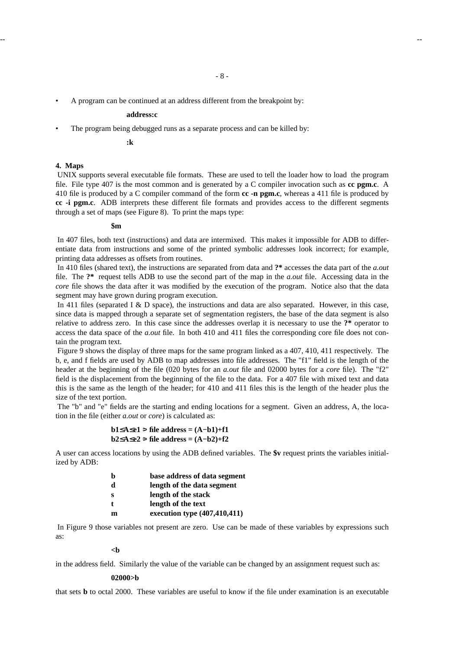• A program can be continued at an address different from the breakpoint by:

#### **address:c**

The program being debugged runs as a separate process and can be killed by:

**:k**

### **4. Maps**

UNIX supports several executable file formats. These are used to tell the loader how to load the program file. File type 407 is the most common and is generated by a C compiler invocation such as **cc pgm.c**. A 410 file is produced by a C compiler command of the form **cc -n pgm.c**, whereas a 411 file is produced by **cc -i pgm.c**. ADB interprets these different file formats and provides access to the different segments through a set of maps (see Figure 8). To print the maps type:

#### **\$m**

In 407 files, both text (instructions) and data are intermixed. This makes it impossible for ADB to differentiate data from instructions and some of the printed symbolic addresses look incorrect; for example, printing data addresses as offsets from routines.

In 410 files (shared text), the instructions are separated from data and **?\*** accesses the data part of the *a.out* file. The **?\*** request tells ADB to use the second part of the map in the *a.out* file. Accessing data in the *core* file shows the data after it was modified by the execution of the program. Notice also that the data segment may have grown during program execution.

In 411 files (separated I & D space), the instructions and data are also separated. However, in this case, since data is mapped through a separate set of segmentation registers, the base of the data segment is also relative to address zero. In this case since the addresses overlap it is necessary to use the **?\*** operator to access the data space of the *a.out* file. In both 410 and 411 files the corresponding core file does not contain the program text.

Figure 9 shows the display of three maps for the same program linked as a 407, 410, 411 respectively. The b, e, and f fields are used by ADB to map addresses into file addresses. The "f1" field is the length of the header at the beginning of the file (020 bytes for an *a.out* file and 02000 bytes for a *core* file). The "f2" field is the displacement from the beginning of the file to the data. For a 407 file with mixed text and data this is the same as the length of the header; for 410 and 411 files this is the length of the header plus the size of the text portion.

The "b" and "e" fields are the starting and ending locations for a segment. Given an address, A, the location in the file (either *a.out* or *core*) is calculated as:

$$
b1 \le A \le e1 \Rightarrow file address = (A-b1)+f1
$$

$$
b2 \le A \le e2 \Rightarrow file address = (A-b2)+f2
$$

A user can access locations by using the ADB defined variables. The **\$v** request prints the variables initialized by ADB:

| b  | base address of data segment |
|----|------------------------------|
| d  | length of the data segment   |
| s  | length of the stack          |
| t. | length of the text           |
| m  | execution type (407,410,411) |

In Figure 9 those variables not present are zero. Use can be made of these variables by expressions such as:

#### **<b**

in the address field. Similarly the value of the variable can be changed by an assignment request such as:

#### **02000>b**

that sets **b** to octal 2000. These variables are useful to know if the file under examination is an executable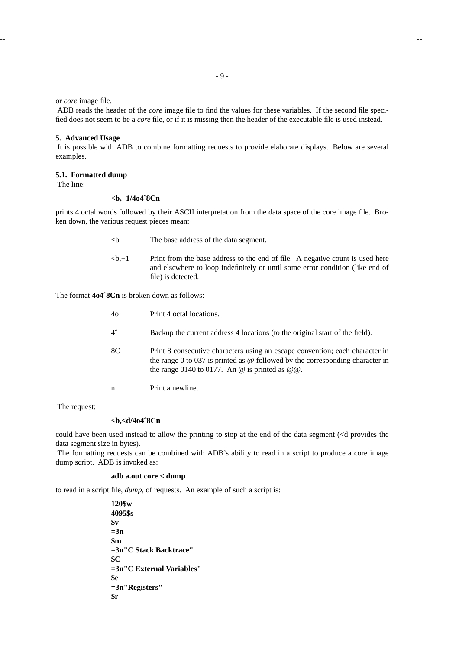or *core* image file.

ADB reads the header of the *core* image file to find the values for these variables. If the second file specified does not seem to be a *core* file, or if it is missing then the header of the executable file is used instead.

#### **5. Advanced Usage**

It is possible with ADB to combine formatting requests to provide elaborate displays. Below are several examples.

### **5.1. Formatted dump**

The line:

### **<b,−1/4o4ˆ8Cn**

prints 4 octal words followed by their ASCII interpretation from the data space of the core image file. Broken down, the various request pieces mean:

- <b The base address of the data segment.
- **,−1 Print from the base address to the end of file. A negative count is used here** and elsewhere to loop indefinitely or until some error condition (like end of file) is detected.

The format **4o4ˆ8Cn** is broken down as follows:

| 4ο | Print 4 octal locations.                                                                                                                                                                                                                    |
|----|---------------------------------------------------------------------------------------------------------------------------------------------------------------------------------------------------------------------------------------------|
| 4^ | Backup the current address 4 locations (to the original start of the field).                                                                                                                                                                |
| 8C | Print 8 consecutive characters using an escape convention; each character in<br>the range 0 to 037 is printed as $\omega$ followed by the corresponding character in<br>the range 0140 to 0177. An $\omega$ is printed as $\omega \omega$ . |
| n  | Print a newline.                                                                                                                                                                                                                            |

The request:

### **<b,<d/4o4ˆ8Cn**

could have been used instead to allow the printing to stop at the end of the data segment (<d provides the data segment size in bytes).

The formatting requests can be combined with ADB's ability to read in a script to produce a core image dump script. ADB is invoked as:

#### **adb a.out core < dump**

to read in a script file, *dump,* of requests. An example of such a script is:

**120\$w 4095\$s \$v =3n \$m =3n"C Stack Backtrace" \$C =3n"C External Variables" \$e =3n"Registers" \$r**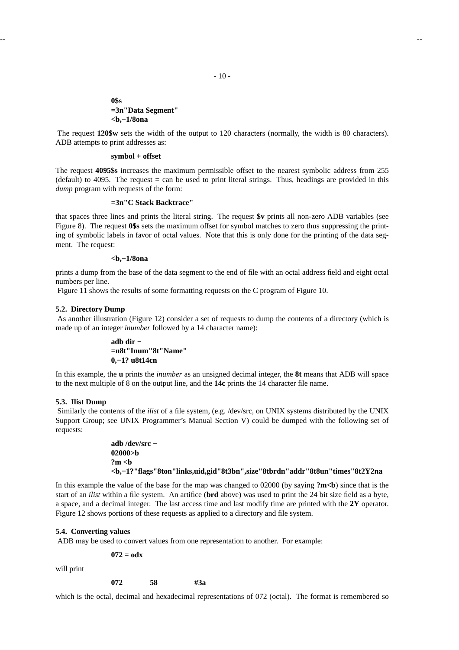**0\$s =3n"Data Segment" <b,−1/8ona**

The request **120\$w** sets the width of the output to 120 characters (normally, the width is 80 characters). ADB attempts to print addresses as:

### **symbol + offset**

The request **4095\$s** increases the maximum permissible offset to the nearest symbolic address from 255 (default) to 4095. The request **=** can be used to print literal strings. Thus, headings are provided in this *dump* program with requests of the form:

### **=3n"C Stack Backtrace"**

that spaces three lines and prints the literal string. The request **\$v** prints all non-zero ADB variables (see Figure 8). The request **0\$s** sets the maximum offset for symbol matches to zero thus suppressing the printing of symbolic labels in favor of octal values. Note that this is only done for the printing of the data segment. The request:

#### **<b,−1/8ona**

prints a dump from the base of the data segment to the end of file with an octal address field and eight octal numbers per line.

Figure 11 shows the results of some formatting requests on the C program of Figure 10.

#### **5.2. Directory Dump**

As another illustration (Figure 12) consider a set of requests to dump the contents of a directory (which is made up of an integer *inumber* followed by a 14 character name):

> **adb dir − =n8t"Inum"8t"Name" 0,−1? u8t14cn**

In this example, the **u** prints the *inumber* as an unsigned decimal integer, the **8t** means that ADB will space to the next multiple of 8 on the output line, and the **14c** prints the 14 character file name.

#### **5.3. Ilist Dump**

Similarly the contents of the *ilist* of a file system, (e.g. /dev/src, on UNIX systems distributed by the UNIX Support Group; see UNIX Programmer's Manual Section V) could be dumped with the following set of requests:

> **adb /dev/src − 02000>b ?m <b <b,−1?"flags"8ton"links,uid,gid"8t3bn",size"8tbrdn"addr"8t8un"times"8t2Y2na**

In this example the value of the base for the map was changed to  $02000$  (by saying  $2m < b$ ) since that is the start of an *ilist* within a file system. An artifice (**brd** above) was used to print the 24 bit size field as a byte, a space, and a decimal integer. The last access time and last modify time are printed with the **2Y** operator. Figure 12 shows portions of these requests as applied to a directory and file system.

#### **5.4. Converting values**

ADB may be used to convert values from one representation to another. For example:

**072 = odx**

will print

**072 58 #3a**

which is the octal, decimal and hexadecimal representations of 072 (octal). The format is remembered so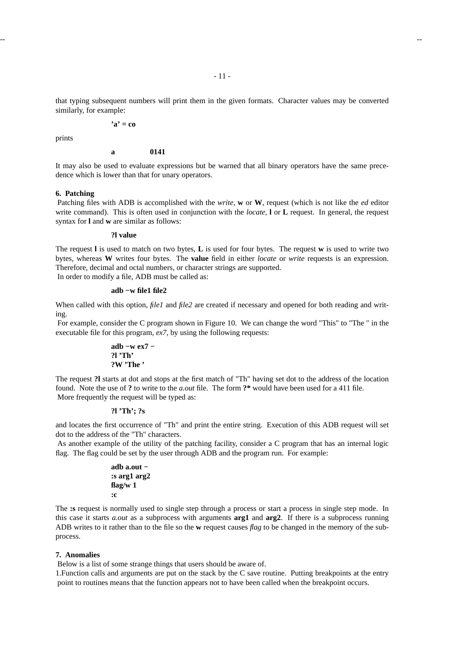that typing subsequent numbers will print them in the given formats. Character values may be converted similarly, for example:

$$
'a' = co
$$

prints

## **a 0141**

It may also be used to evaluate expressions but be warned that all binary operators have the same precedence which is lower than that for unary operators.

### **6. Patching**

Patching files with ADB is accomplished with the *write,* **w** or **W**, request (which is not like the *ed* editor write command). This is often used in conjunction with the *locate*, **l** or **L** request. In general, the request syntax for **l** and **w** are similar as follows:

#### **?l value**

The request **l** is used to match on two bytes, **L** is used for four bytes. The request **w** is used to write two bytes, whereas **W** writes four bytes. The **value** field in either *locate* or *write* requests is an expression. Therefore, decimal and octal numbers, or character strings are supported.

In order to modify a file, ADB must be called as:

### **adb −w file1 file2**

When called with this option, *file1* and *file2* are created if necessary and opened for both reading and writing.

For example, consider the C program shown in Figure 10. We can change the word "This" to "The " in the executable file for this program, *ex7*, by using the following requests:

$$
adb - w ex7 -?\n1'Th'?\nW'The'
$$

The request **?l** starts at dot and stops at the first match of "Th" having set dot to the address of the location found. Note the use of **?** to write to the *a.out* file. The form **?\*** would have been used for a 411 file. More frequently the request will be typed as:

### **?l 'Th'; ?s**

and locates the first occurrence of "Th" and print the entire string. Execution of this ADB request will set dot to the address of the "Th" characters.

As another example of the utility of the patching facility, consider a C program that has an internal logic flag. The flag could be set by the user through ADB and the program run. For example:

### **adb a.out − :s arg1 arg2 flag/w 1 :c**

The **:s** request is normally used to single step through a process or start a process in single step mode. In this case it starts *a.out* as a subprocess with arguments **arg1** and **arg2**. If there is a subprocess running ADB writes to it rather than to the file so the **w** request causes *flag* to be changed in the memory of the subprocess.

## **7. Anomalies**

Below is a list of some strange things that users should be aware of.

1.Function calls and arguments are put on the stack by the C save routine. Putting breakpoints at the entry point to routines means that the function appears not to have been called when the breakpoint occurs.

-- --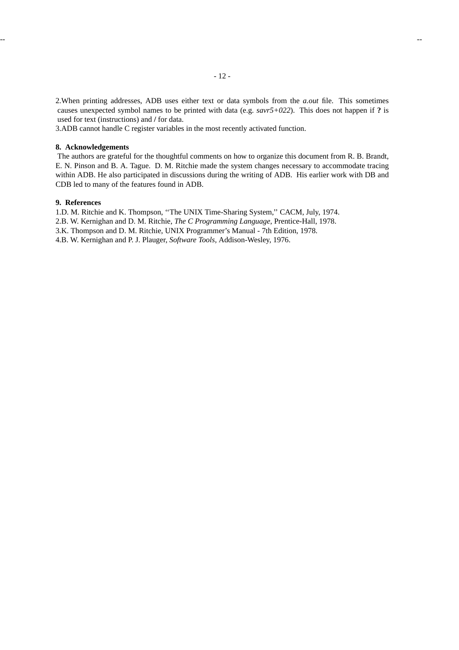2.When printing addresses, ADB uses either text or data symbols from the *a.out* file. This sometimes causes unexpected symbol names to be printed with data (e.g. *savr5+022*). This does not happen if **?** is used for text (instructions) and **/** for data.

3.ADB cannot handle C register variables in the most recently activated function.

### **8. Acknowledgements**

The authors are grateful for the thoughtful comments on how to organize this document from R. B. Brandt, E. N. Pinson and B. A. Tague. D. M. Ritchie made the system changes necessary to accommodate tracing within ADB. He also participated in discussions during the writing of ADB. His earlier work with DB and CDB led to many of the features found in ADB.

### **9. References**

1.D. M. Ritchie and K. Thompson, ''The UNIX Time-Sharing System,'' CACM, July, 1974.

2.B. W. Kernighan and D. M. Ritchie, *The C Programming Language,* Prentice-Hall, 1978.

3.K. Thompson and D. M. Ritchie, UNIX Programmer's Manual - 7th Edition, 1978.

4.B. W. Kernighan and P. J. Plauger, *Software Tools,* Addison-Wesley, 1976.

-- --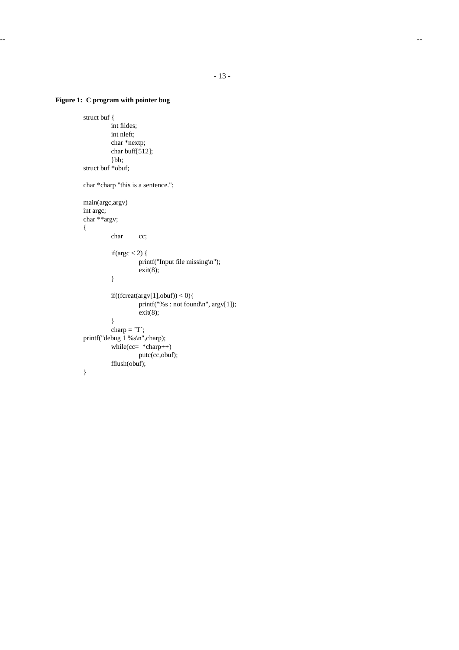# **Figure 1: C program with pointer bug**

```
struct buf {
         int fildes;
         int nleft;
          char *nextp;
          char buff[512];
          }bb;
struct buf *obuf;
char *charp "this is a sentence.";
main(argc,argv)
int argc;
char **argv; {
         char cc;
         if(argc < 2) {
                   printf("Input file missing\n");
                   exit(8);}
         if((fcreate(argv[1],obuf)) < 0){
                   printf("%s : not found\n", argv[1]);
                   exit(8);}
         charp = T';
printf("debug 1 %s\n",charp);
         while(cc= *charp++)
                   putc(cc,obuf);
         fflush(obuf);
}
```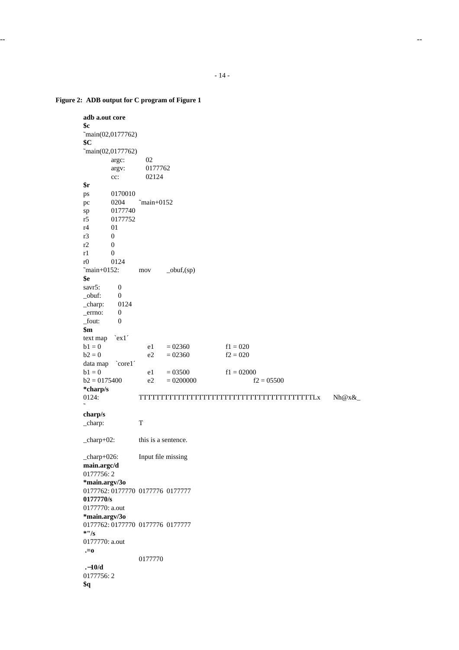### **Figure 2: ADB output for C program of Figure 1**

```
adb a.out core
$c
˜main(02,0177762)
$C
˜main(02,0177762)
       argc: 02
       argv: 0177762
       cc: 02124
$r
ps 0170010<br>pc 0204
pc 0204 ˜main+0152
sp 0177740
r5 0177752
r4 01
r3 0
r2 0
r1 0
r0 0124
\text{main} + 0152: mov \text{oubuf}, \text{(sp)}$e
savr5: 0
\begin{bmatrix} \text{obuf:} & 0 \\ \text{charp:} & 0124 \end{bmatrix}_{\text{-}charp:}_errno: 0
_fout: _0$m
text map `ex1´
b1 = 0 e1 = 02360 f1 = 020
b2 = 0 e2 = 02360 f2 = 020
data map `core1<sup>'</sup>
b1 = 0 e1 = 03500 f1 = 02000
b2 = 0175400 e2 = 0200000 f2 = 05500
*charp/s
0124: TTTTTTTTTTTTTTTTTTTTTTTTTTTTTTTTTTTTTTTTTLx Nh@x&_
\tilde{\ }charp/s
_charp: T
_charp+02: this is a sentence.
_charp+026: Input file missing
main.argc/d
0177756: 2
*main.argv/3o
0177762: 0177770 0177776 0177777
0177770/s
0177770: a.out
*main.argv/3o
0177762: 0177770 0177776 0177777
*"/s
0177770: a.out
.=o
               0177770
.−10/d
0177756: 2
$q
```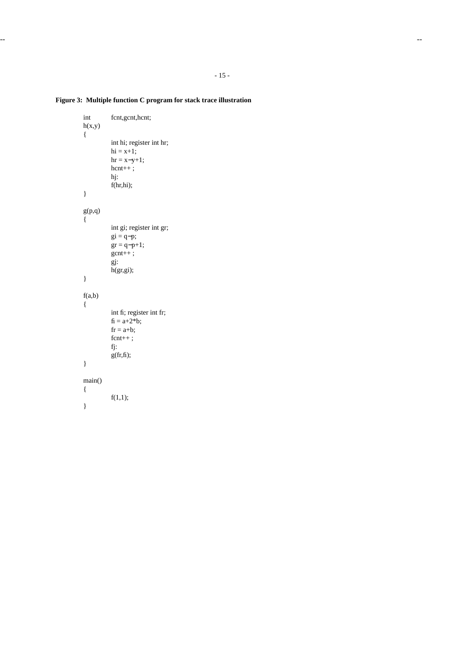# **Figure 3: Multiple function C program for stack trace illustration**

```
int fcnt,gcnt,hcnt;
h(x,y){
          int hi; register int hr;
          hi = x+1;hr = x-y+1;hcnt++;
          hj:
          f(hr,hi);}
g(p,q){
          int gi; register int gr;
          gi = q-p;gr = q-p+1;gcnt++;
          gj:
          h(gr,gi);
}
f(a,b) {
          int fi; register int fr;
          f_1 = a + 2 * b;fr = a+b;fcnt++ ;
          fj:
          g(fr,fi);
}
main() {
          f(1,1);}
```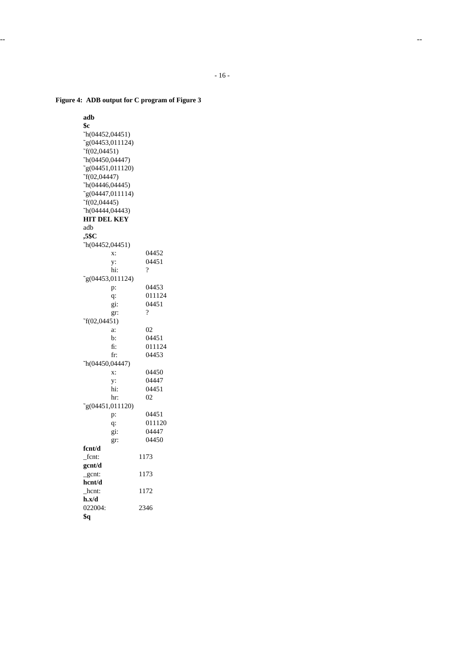- 16 -

### **Figure 4: ADB output for C program of Figure 3**

**adb \$c** ˜h(04452,04451) ˜g(04453,011124) ˜f(02,04451) ˜h(04450,04447) ˜g(04451,011120)  $\tilde{f}(02,04447)$ ˜h(04446,04445) ˜g(04447,011114)  $\tilde{}f(02,04445)$ ˜h(04444,04443) **HIT DEL KEY** adb **,5\$C** ˜h(04452,04451) x: 04452 y: 04451 hi: ? ˜g(04453,011124) p: 04453 q: 011124 gi:  $04451$ <br>gr: ? gr: ˜f(02,04451) a: 02 b: 04451 fi: 011124 fr: 04453 ˜h(04450,04447) x: 04450 y: 04447 hi: 04451 hr: 02 ˜g(04451,011120) p: 04451 q: 011120 gi: 04447 gr: 04450 **fcnt/d** \_fcnt: 1173 **gcnt/d** \_gcnt: 1173 **hcnt/d** \_hcnt: 1172 **h.x/d** 022004: 2346 **\$q**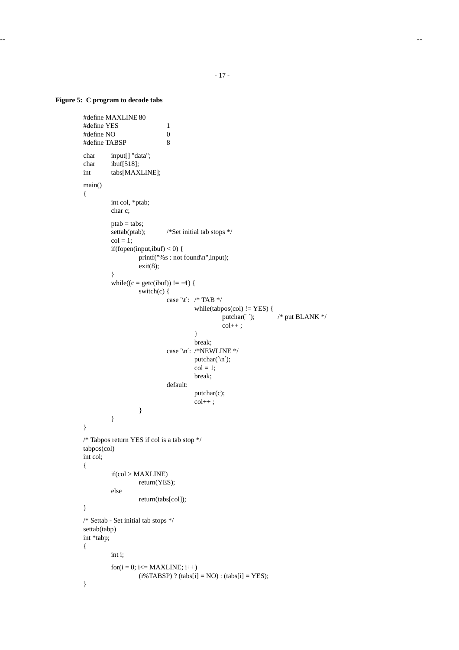### **Figure 5: C program to decode tabs**

```
#define MAXLINE 80
#define YES 1
#define NO 0
#define TABSP 8
char input[] "data";
char ibuf[518];
int tabs[MAXLINE];
main()
{
         int col, *ptab;
         char c;
         ptab = tabs;settab(ptab); /*Set initial tab stops */
         col = 1;
         if(fopen(input,ibuf) < 0) {
                   printf("%s : not found\n",input);
                   exit(8);}
         while((c = getc(ibuf)) != -1) {
                   switch(c) \overline{\{}case \chi': /* TAB */
                                      while(tabpos(col) != YES) {<br>putchar('');
                                                                   /* put BLANK */col++;
                                      }
                                      break;
                             case ′\n′: /*NEWLINE */
                                      putchar(\ln');
                                      col = 1;
                                      break;
                            default:
                                      putchar(c);
                                      col++;
                   }
         }
}
/* Tabpos return YES if col is a tab stop */
tabpos(col)
int col;
{
         if(col > MAXLINE)
                   return(YES);
         else
                   return(tabs[col]);
}
\hspace{0.1mm}/^* Settab - Set initial tab stops \hspace{0.1mm}^*settab(tabp)
int *tabp;
{
         int i;
         for(i = 0; i \le MAXLINE; i++)
                   (i\%TABSP) ? (tabs[i] = NO) : (tabs[i] = YES);
}
```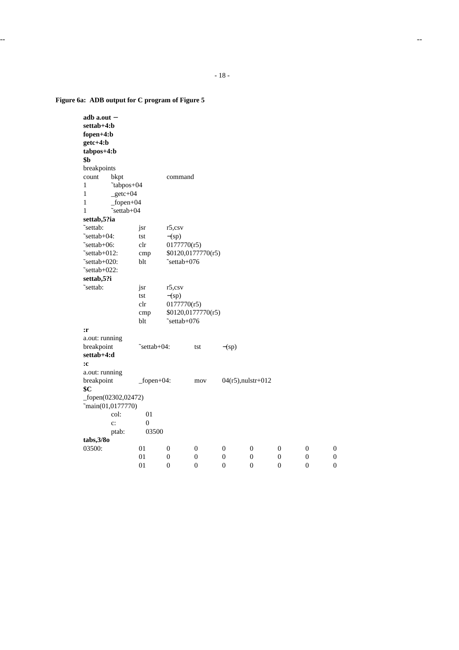- 18 -

### **Figure 6a: ADB output for C program of Figure 5**

**adb a.out** − **settab+4:b fopen+4:b getc+4:b tabpos+4:b \$b** breakpoints count bkpt command 1  $\tilde{\text{tabpos}}+04$ 1  $\text{getc}$ +04 1 \_fopen+04 1  $\tilde{\text{2}}$  settab+04 **settab,5?ia** ˜settab: jsr r5,csv  $\tilde{\text{2}}$ settab+04: tst  $-(\text{sp})$ ˜settab+06: clr 0177770(r5) ~settab+012: cmp \$0120,0177770(r5) ˜settab+020: blt ˜settab+076 ˜settab+022: **settab,5?i** ˜settab: jsr r5,csv tst  $-(sp)$ clr 0177770(r5) cmp \$0120,0177770(r5) blt ~settab+076 **:r** a.out: running breakpoint ˜settab+04: tst −(sp) **settab+4:d :c** a.out: running breakpoint \_fopen+04: mov 04(r5),nulstr+012 **\$C** \_fopen(02302,02472) ˜main(01,0177770) col: 01 c: 0 ptab: 03500 **tabs,3/8o** 03500: 01 0 0 0 0 0 0 0 01 0 0 0 0 0 0 0 01 0 0 0 0 0 0 0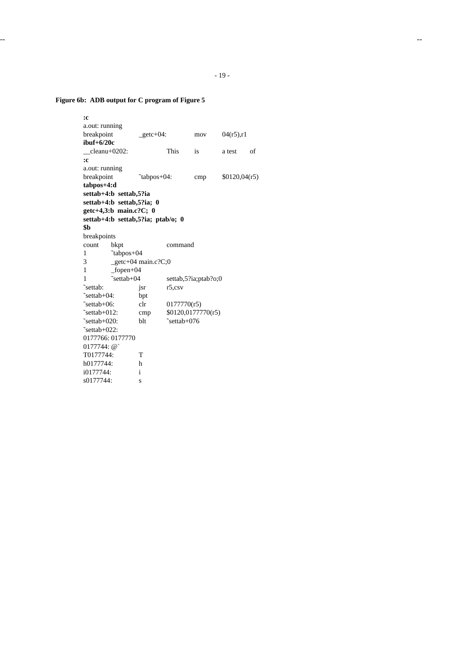### - 19 -

### **Figure 6b: ADB output for C program of Figure 5**

**:c** a.out: running breakpoint  $getc+04$ : mov  $04(r5),r1$ **ibuf+6/20c** \_\_cleanu+0202: This is a test of **:c** a.out: running  $\text{`tabpos+04:} \quad \text{cmp} \quad \text{`80120,04(r5)}$ **tabpos+4:d settab+4:b settab,5?ia settab+4:b settab,5?ia; 0 getc+4,3:b main.c?C; 0 settab+4:b settab,5?ia; ptab/o; 0 \$b** breakpoints count bkpt command 1  $\tilde{\text{tabpos}}+04$  $3 \qquad \qquad \text{getc+04 main.c?C;0}$  $\frac{1}{1}$   $\frac{\text{fopen}+04}{\text{settab}+04}$ 1 ˜settab+04 settab,5?ia;ptab?o;0 ˜settab: jsr r5,csv ~settab+04: bpt<br>~settab+06: clr  $\text{Testtab+06:} \quad \text{cir} \quad \text{0177770(r5)}$ <br> $\text{Testtab+012:} \quad \text{cmp} \quad \text{$0120,01777}$ cmp  $$0120,0177770(r5)$ ˜settab+020: blt ˜settab+076 ˜settab+022: 0177766: 0177770 0177744: @` T0177744: T h0177744: h i0177744: i s0177744: s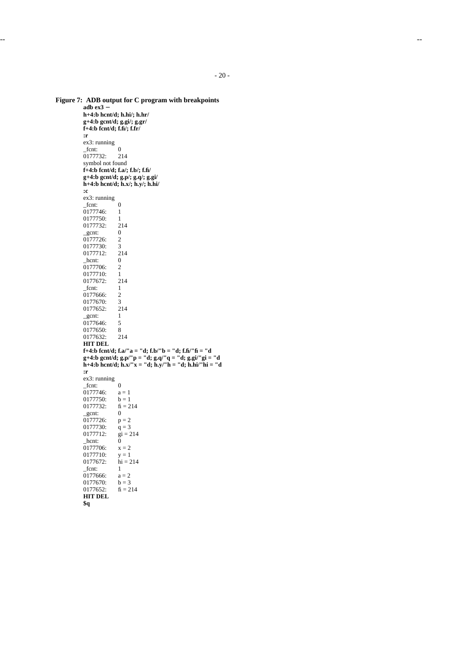- 20 -

**Figure 7: ADB output for C program with breakpoints adb ex3** − **h+4:b hcnt/d; h.hi/; h.hr/ g+4:b gcnt/d; g.gi/; g.gr/ f+4:b fcnt/d; f.fi/; f.fr/ :r** ex3: running  $\frac{\text{fent:}}{0177732}$ : 214  $\overline{0}177732:$ symbol not found **f+4:b fcnt/d; f.a/; f.b/; f.fi/ g+4:b gcnt/d; g.p/; g.q/; g.gi/ h+4:b hcnt/d; h.x/; h.y/; h.hi/ :c** ex3: running  $_{\text{fcnt:}}$  0 0177746: 1 0177750: 1<br>0177732: 214  $0177732: 21$ <br>gcnt: 0  $\text{\_}gent: 0$ 0177726: 2 0177730: 3<br>0177712: 214 0177712: 21<br>hent: 0  $\frac{\text{hent:}}{\text{0177706:}}$  0  $\frac{1}{0}$ <br>0177706: 2<br>0177710: 1 0177710: 1 0177672: 214<br>fent: 1  $\frac{1}{0177666}$ : 1  $\overline{0}$ 177666: 2<br>0177670: 3 0177670: 3<br>0177652: 214 0177652: 21<br>gcnt: 1  $_$ 0177646: 5<br>0177650: 8 0177650: 8 0177632: 214 **HIT DEL f+4:b fcnt/d; f.a/"a = "d; f.b/"b = "d; f.fi/"fi = "d g+4:b gcnt/d; g.p/"p = "d; g.q/"q = "d; g.gi/"gi = "d h+4:b hcnt/d; h.x/"x = "d; h.y/"h = "d; h.hi/"hi = "d :r** ex3: running \_fcnt:  $\begin{bmatrix} 0 \\ 0177746: \end{bmatrix}$  = 1  $\overline{0}177746:$ 0177750:  $b = 1$ 0177732:  $fi = 214$ \_gcnt:  $0$ <br>0177726:  $p = 2$  $\overline{0177726}$ :  $p = 2$ <br>0177730:  $q = 3$ 0177730: 0177712:  $gi = 214$  $h$ cnt:  $\qquad \qquad 0$ 0177706:  $x = 2$ <br>0177710:  $y = 1$ 0177710:  $y = 1$ <br>0177672:  $hi = 214$ 0177672:  $_$ rcnt:  $_1$  $\overline{0}177666$ :  $a = 2$ 0177670:  $b = 3$ <br>0177652:  $f{i} = 214$ 0177652: **HIT DEL**

**\$q**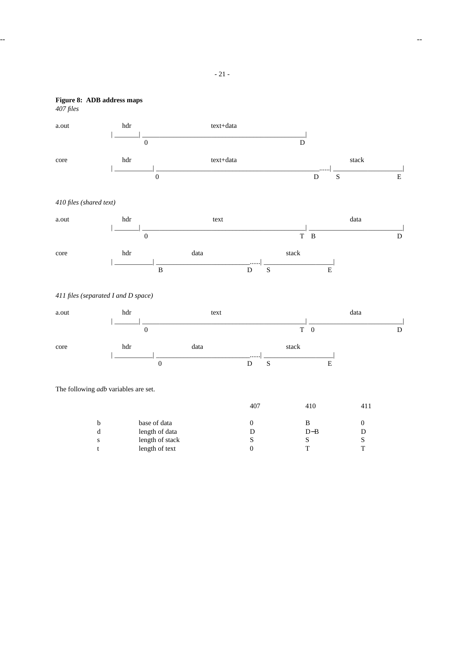**Figure 8: ADB address maps**

*407 files*



t length of text 0 T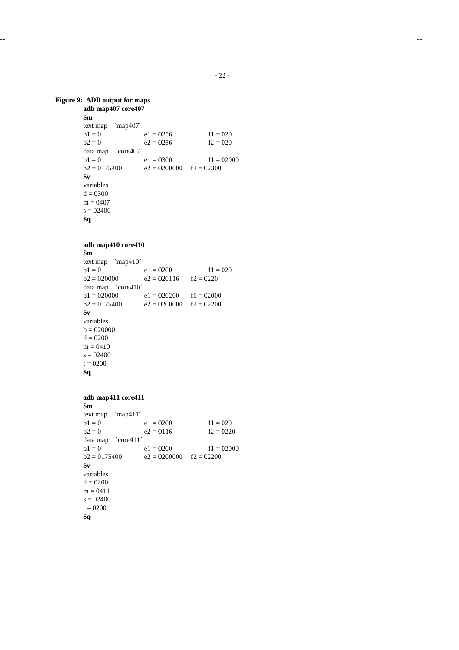### **Figure 9: ADB output for maps**

```
adb map407 core407
```

```
$m
text map `map407´
b1 = 0 e1 = 0256 f1 = 020
b2 = 0 e2 = 0256 f2 = 020
data map `core407<sup>^</sup>
b1 = 0 e1 = 0300 f1 = 02000
b2 = 0175400 e2 = 0200000 f2 = 02300
$v
variables
d = 0300m = 0407s = 02400
```

```
$q
```
### **adb map410 core410**

```
$m
text map `map410´
b1 = 0 e1 = 0200 f1 = 020<br>
b2 = 020000 e2 = 020116 f2 = 0220
                      e2 = 020116 f2 = 0220data map `core410´
b1 = 020000 e1 = 020200 f1 = 02000<br>b2 = 0175400 e2 = 0200000 f2 = 02200
                      e2 = 0200000 f2 = 02200
$v
variables
b = 020000d = 0200m = 0410s = 02400t = 0200$q
```
# **adb map411 core411 \$m** `map411 $\prime$

```
b1 = 0 e1 = 0200 f1 = 020
b2 = 0 e2 = 0116 f2 = 0220
data map `core411´
b1 = 0 e1 = 0200 f1 = 02000
b2 = 0175400 e2 = 0200000 f2 = 02200
$v
variables
d = 0200m = 0411s = 02400t = 0200$q
```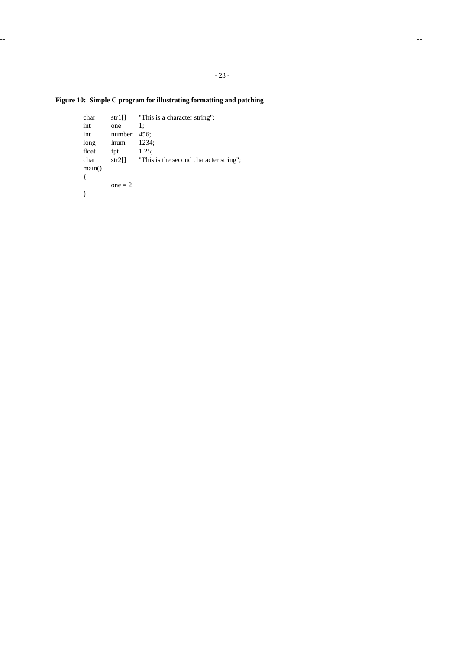## - 23 -

# **Figure 10: Simple C program for illustrating formatting and patching**

char str1[] "This is a character string";<br>int one 1; int one<br>int num int number 456;<br>long lnum 1234  $lnum$  1234; float fpt 1.25;<br>char str2[] "This "This is the second character string"; main() { one  $= 2$ ; }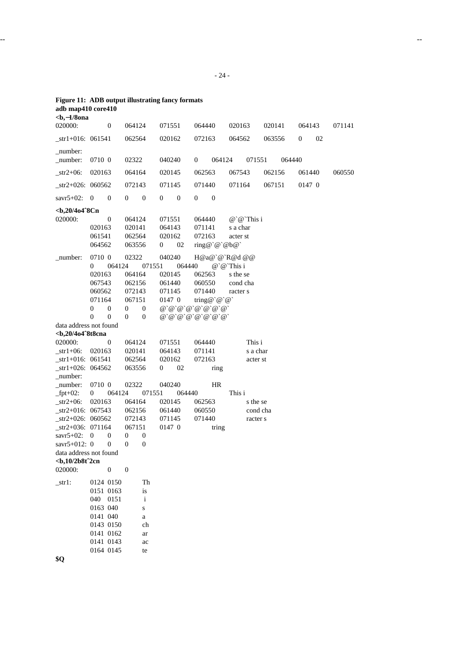| adb map410 core410<br>$-1/8$ ona |                                          |                                  | Figure 11: ADB output illustrating fancy formats |                              |                                        |          |         |        |
|----------------------------------|------------------------------------------|----------------------------------|--------------------------------------------------|------------------------------|----------------------------------------|----------|---------|--------|
| 020000:                          | $\mathbf{0}$                             | 064124                           | 071551                                           | 064440                       | 020163                                 | 020141   | 064143  | 071141 |
| $str1+016: 061541$               |                                          | 062564                           | 020162                                           | 072163                       | 064562                                 | 063556   | 02<br>0 |        |
| _number:                         |                                          |                                  |                                                  | 064124                       |                                        | 071551   | 064440  |        |
| _number:                         | 0710 0                                   | 02322                            | 040240                                           | $\mathbf{0}$                 |                                        |          |         |        |
| $str2+06$ :                      | 020163                                   | 064164                           | 020145                                           | 062563                       | 067543                                 | 062156   | 061440  | 060550 |
| $str2+026: 060562$               |                                          | 072143                           | 071145                                           | 071440                       | 071164                                 | 067151   | 0147 0  |        |
| savr $5+02$ : 0                  | $\mathbf{0}$                             | $\overline{0}$<br>$\mathbf{0}$   | $\mathbf{0}$<br>$\mathbf{0}$                     | $\mathbf{0}$<br>$\mathbf{0}$ |                                        |          |         |        |
| $1,20/404$ °8Cn<br>020000:       | $\boldsymbol{0}$<br>020163<br>061541     | 064124<br>020141<br>062564       | 071551<br>064143<br>020162                       | 064440<br>071141<br>072163   | $@$ $@$ This i<br>s a char<br>acter st |          |         |        |
|                                  | 064562                                   | 063556                           | 02<br>0                                          | ring@`@`@b@`                 |                                        |          |         |        |
| _number:                         | 0710 0                                   | 02322                            | 040240                                           |                              | H@a@`@`R@d@@                           |          |         |        |
|                                  | 064124<br>$\Omega$                       |                                  | 071551<br>064440                                 |                              | $@$ $@$ This i                         |          |         |        |
|                                  | 020163                                   | 064164                           | 020145                                           | 062563                       | s the se                               |          |         |        |
|                                  | 067543                                   | 062156                           | 061440                                           | 060550                       | cond cha                               |          |         |        |
|                                  | 060562                                   | 072143                           | 071145                                           | 071440                       | racter s                               |          |         |        |
|                                  | 071164                                   | 067151                           | 0147 0                                           | tring@`@`@`                  |                                        |          |         |        |
|                                  | $\overline{0}$<br>$\boldsymbol{0}$       | $\mathbf{0}$<br>$\mathbf{0}$     |                                                  | @`@`@`@`@`@`@`@`@`@``@``     |                                        |          |         |        |
|                                  | $\Omega$<br>$\overline{0}$               | $\overline{0}$<br>$\overline{0}$ |                                                  | @`@`@`@`@`@`@`@`@`@`@`       |                                        |          |         |        |
|                                  | data address not found                   |                                  |                                                  |                              |                                        |          |         |        |
| <br>b, 20/4o4^8t8cna             |                                          |                                  |                                                  |                              |                                        |          |         |        |
| 020000:                          | $\theta$                                 | 064124                           | 071551                                           | 064440                       | This i                                 |          |         |        |
| $str1+06$ :                      | 020163                                   | 020141                           | 064143                                           | 071141                       |                                        | s a char |         |        |
| $str1+016$ : 061541              |                                          | 062564                           | 020162                                           | 072163                       |                                        | acter st |         |        |
| $str1+026: 064562$<br>number:    |                                          | 063556                           | 02<br>0                                          | ring                         |                                        |          |         |        |
| _number:                         | 0710 0                                   | 02322                            | 040240                                           | <b>HR</b>                    |                                        |          |         |        |
| $-fpt+02$ :                      | 064124<br>$\overline{0}$                 |                                  | 071551                                           | 064440                       | This i                                 |          |         |        |
| $str2+06$ :                      | 020163                                   | 064164                           | 020145                                           | 062563                       |                                        | s the se |         |        |
| $str2+016: 067543$               |                                          | 062156                           | 061440                                           | 060550                       |                                        | cond cha |         |        |
| $str2+026: 060562$               |                                          | 072143                           | 071145                                           | 071440                       |                                        | racter s |         |        |
| $str2+036: 071164$               |                                          | 067151                           | 0147 0                                           | tring                        |                                        |          |         |        |
| savr $5+02$ :<br>savr $5+012:0$  | $\theta$<br>$\boldsymbol{0}$<br>$\theta$ | $\mathbf{0}$<br>0<br>0<br>0      |                                                  |                              |                                        |          |         |        |
| data address not found           |                                          |                                  |                                                  |                              |                                        |          |         |        |
| $3.10/2b8t^2cn$                  |                                          |                                  |                                                  |                              |                                        |          |         |        |
| 020000:                          | $\boldsymbol{0}$                         | $\mathbf{0}$                     |                                                  |                              |                                        |          |         |        |
| $str1$ :                         | 0124 0150                                | Th                               |                                                  |                              |                                        |          |         |        |
|                                  | 0151 0163                                | <i>is</i>                        |                                                  |                              |                                        |          |         |        |
|                                  | 040 0151                                 | $\mathbf{i}$                     |                                                  |                              |                                        |          |         |        |
|                                  | 0163 040                                 | S                                |                                                  |                              |                                        |          |         |        |
|                                  | 0141 040                                 | a                                |                                                  |                              |                                        |          |         |        |
|                                  | 0143 0150                                | ch                               |                                                  |                              |                                        |          |         |        |
|                                  | 0141 0162                                | ar                               |                                                  |                              |                                        |          |         |        |
|                                  | 0141 0143                                | ac                               |                                                  |                              |                                        |          |         |        |
|                                  | 0164 0145                                | te                               |                                                  |                              |                                        |          |         |        |

- 24 -

-- --

**\$Q**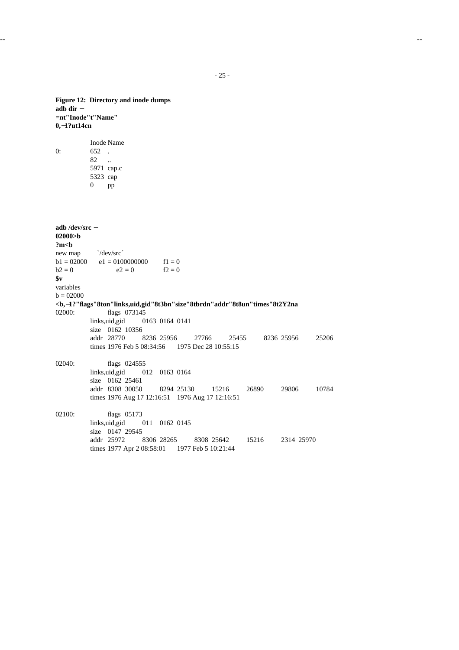- 25 -

**Figure 12: Directory and inode dumps adb dir** − **=nt"Inode"t"Name" 0,**−**1?ut14cn**

Inode Name 0: 652 . 82 .. 5971 cap.c 5323 cap

0 pp

**adb /dev/src** − **02000>b ?m<b** new map  $\gamma$ dev/src<sup> $\gamma$ </sup>  $b1 = 02000$  e1 = 0100000000 f1 = 0  $b2 = 0$   $e2 = 0$   $f2 = 0$ **\$v** variables  $b = 02000$ **<b,**−**1?"flags"8ton"links,uid,gid"8t3bn"size"8tbrdn"addr"8t8un"times"8t2Y2na** flags 073145 links,uid,gid 0163 0164 0141 size 0162 10356 addr 28770 8236 25956 27766 25455 8236 25956 25206 times 1976 Feb 5 08:34:56 1975 Dec 28 10:55:15 02040: flags 024555 links,uid,gid 012 0163 0164 size 0162 25461 addr 8308 30050 8294 25130 15216 26890 29806 10784 times 1976 Aug 17 12:16:51 1976 Aug 17 12:16:51 02100: flags 05173 links,uid,gid 011 0162 0145 size 0147 29545 addr 25972 8306 28265 8308 25642 15216 2314 25970 times 1977 Apr 2 08:58:01 1977 Feb 5 10:21:44